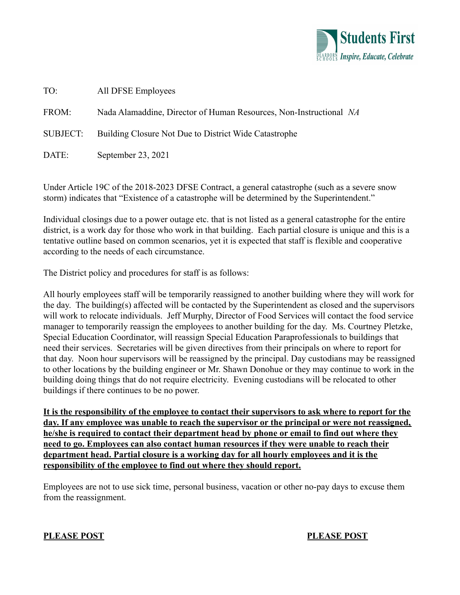

### TO: All DFSE Employees

FROM: Nada Alamaddine, Director of Human Resources, Non-Instructional *NA*

SUBJECT: Building Closure Not Due to District Wide Catastrophe

DATE: September 23, 2021

Under Article 19C of the 2018-2023 DFSE Contract, a general catastrophe (such as a severe snow storm) indicates that "Existence of a catastrophe will be determined by the Superintendent."

Individual closings due to a power outage etc. that is not listed as a general catastrophe for the entire district, is a work day for those who work in that building. Each partial closure is unique and this is a tentative outline based on common scenarios, yet it is expected that staff is flexible and cooperative according to the needs of each circumstance.

The District policy and procedures for staff is as follows:

All hourly employees staff will be temporarily reassigned to another building where they will work for the day. The building(s) affected will be contacted by the Superintendent as closed and the supervisors will work to relocate individuals. Jeff Murphy, Director of Food Services will contact the food service manager to temporarily reassign the employees to another building for the day. Ms. Courtney Pletzke, Special Education Coordinator, will reassign Special Education Paraprofessionals to buildings that need their services. Secretaries will be given directives from their principals on where to report for that day. Noon hour supervisors will be reassigned by the principal. Day custodians may be reassigned to other locations by the building engineer or Mr. Shawn Donohue or they may continue to work in the building doing things that do not require electricity. Evening custodians will be relocated to other buildings if there continues to be no power.

**It is the responsibility of the employee to contact their supervisors to ask where to report for the day. If any employee was unable to reach the supervisor or the principal or were not reassigned, he/she is required to contact their department head by phone or email to find out where they need to go. Employees can also contact human resources if they were unable to reach their department head. Partial closure is a working day for all hourly employees and it is the responsibility of the employee to find out where they should report.**

Employees are not to use sick time, personal business, vacation or other no-pay days to excuse them from the reassignment.

## **PLEASE POST PLEASE POST**